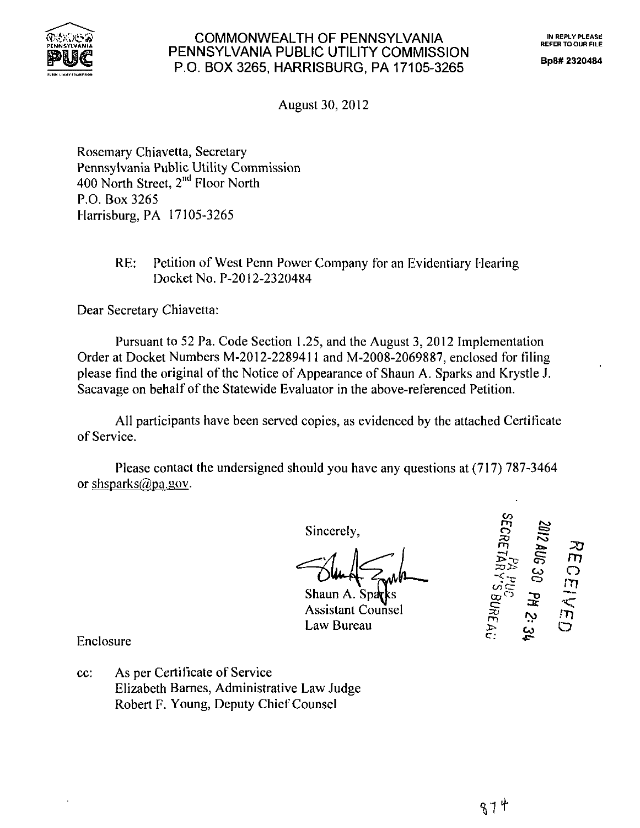

## FLAXSOS COMMONWEALTH OF PENNSYLVANIA THE IN REPLY PLEASE PENNSYLVANIA PUBLIC UTILITY COMMISSION  $\frac{P^2}{P^2}$  P.O. BOX 3265, HARRISBURG, PA 17105-326

Bp8#2320484

August 30, 2012

Rosemary Chiavetta, Secretary Pennsylvania Public Utility Commission 400 North Street,  $2<sup>nd</sup>$  Floor North P.O. Box 3265 Harrisburg, PA 17105-3265

# RE: Petition of West Penn Power Company for an Evidentiary Hearing Docket No. P-2012-2320484

Dear Secretary Chiavetta:

Pursuant to 52 Pa. Code Section 1.25, and the August 3, 2012 Implementation Order at Docket Numbers M-2012-2289411 and M-2008-2069887, enclosed for filing please find the original of the Notice of Appearance of Shaun A. Sparks and Krystle J. Sacavage on behalf of the Statewide Evaluator in the above-referenced Petition.

All participants have been served copies, as evidenced by the attached Certificate of Service.

Please contact the undersigned should you have any questions at (717) 787-3464 or shsparks $@$ pa.gov.

Sincerely,

Shaun A. Spa

Assistant Counsel

Law Bureau

Z012 AL<br>SECRET 2 AUG 30 PH 2: דח CEIVED:  $\prec$  .  $\tilde{\pi}$ 

Enclosure

cc: As per Certificate of Service Elizabeth Barnes, Administrative Law Judge Robert F. Young, Deputy Chief Counsel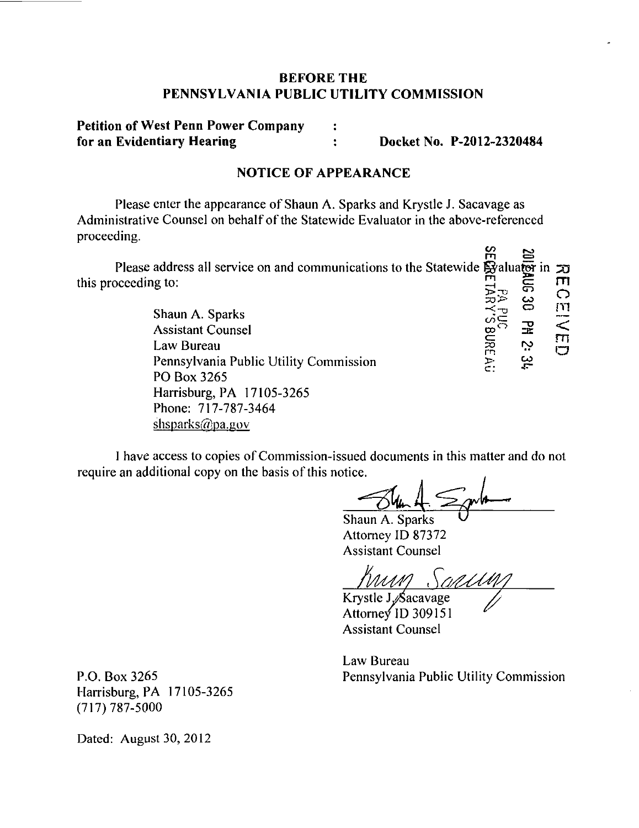## **BEFORE THE PENNSYLVANIA PUBLIC UTILITY COMMISSION**

## **Petition of West Penn Power Company : for an Evidentiary Hearing : Docket No. P-2012-2320484**

### **NOTICE OF APPEARANCE**

Please enter the appearance of Shaun A. Sparks and Krystle J. Sacavage as Administrative Counsel on behalf of the Statewide Evaluator in the above-referenced proceeding.  $\overline{\phantom{a}}$ 

| Please address all service on and communications to the Statewide Byaluator in $\pi$ |     |    |  |
|--------------------------------------------------------------------------------------|-----|----|--|
| this proceeding to:                                                                  |     |    |  |
|                                                                                      |     |    |  |
|                                                                                      | تذت | دت |  |
| Shaun A. Sparks                                                                      |     |    |  |
| $\blacksquare$                                                                       |     |    |  |

Assistant Counsel<br>Law Bureau  $\sum_{n=1}^{\infty}$   $\sum_{n=1}^{\infty}$   $\sum_{n=1}^{\infty}$   $\sum_{n=1}^{\infty}$   $\sum_{n=1}^{\infty}$   $\sum_{n=1}^{\infty}$   $\sum_{n=1}^{\infty}$   $\sum_{n=1}^{\infty}$   $\sum_{n=1}^{\infty}$   $\sum_{n=1}^{\infty}$   $\sum_{n=1}^{\infty}$   $\sum_{n=1}^{\infty}$   $\sum_{n=1}^{\infty}$ Law Bureau Pennsylvania Public Utility Commission PO Box 3265 Harrisburg, PA 17105-3265 Phone: 717-787-3464 shsparks@pa.gov

I have access to copies of Commission-issued documents in this matter and do not require an additional copy on the basis of this notice.

Ġ

Shaun A. Sparks ^ Attorney ID 87372 Assistant Counsel

Krystle J<sub>/Sacavage</sub>

Attorney ID 309151 Assistant Counsel

Law Bureau P.O. Box 3265 Pennsylvania Public Utility Commission

Harrisburg, PA 17105-3265  $(717)787 - 5000$ 

Dated: August 30, 2012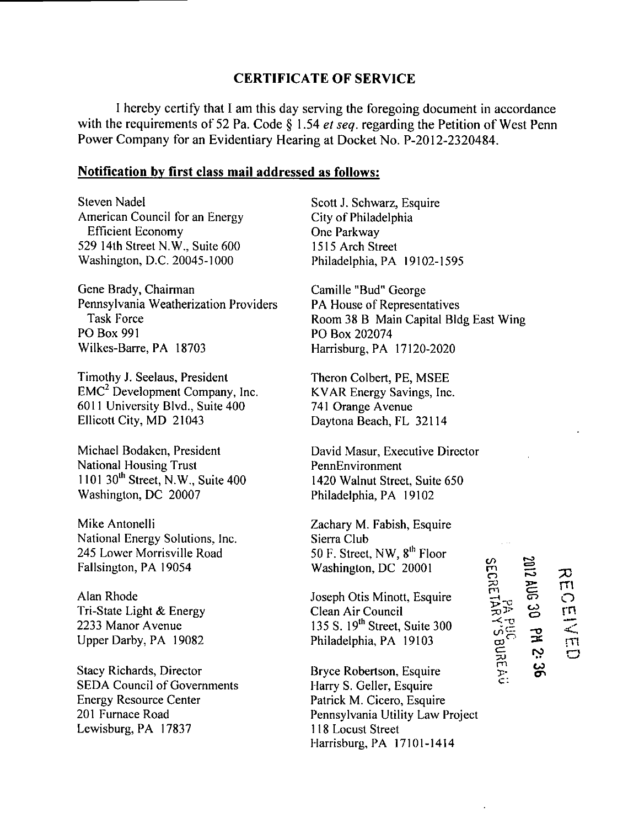#### **CERTIFICATE OF SERVICE**

I hereby certify that I am this day serving the foregoing document in accordance with the requirements of 52 Pa. Code  $\S$  1.54 *et seq.* regarding the Petition of West Penn Power Company for an Evidentiary Hearing at Docket No. P-2012-2320484.

#### **Notification by first class mail addressed as follows:**

Steven Nadel American Council for an Energy Efficient Economy 529 14th Street N.W., Suite 600 Washington, D.C. 20045-1000

Gene Brady, Chairman Pennsylvania Weatherization Providers Task Force PO Box 991 Wilkes-Barre, PA 18703

Timothy J. Seelaus, President EMC<sup>2</sup> Development Company, Inc. 6011 University Blvd., Suite 400 Ellicott City, MD 21043

Michael Bodaken, President National Housing Trust 1101 30<sup>th</sup> Street, N.W., Suite 400 Washington, DC 20007

Mike Antonelli National Energy Solutions, Inc. 245 Lower Morrisville Road Fallsington, PA 19054

Alan Rhode Tri-State Light & Energy 2233 Manor Avenue Upper Darby, PA 19082

Stacy Richards, Director SEDA Council of Governments Energy Resource Center 201 Furnace Road Lewisburg, PA 17837

Scott J. Schwarz, Esquire City of Philadelphia One Parkway 1515 Arch Street Philadelphia, PA 19102-1595

Camille "Bud" George PA House of Representatives Room 38 B Main Capital Bldg East Wing PO Box 202074 Harrisburg, PA 17120-2020

Theron Colbert, PE, MSEE KVAR Energy Savings, Inc. 741 Orange Avenue Daytona Beach, FL 32114

David Masur, Executive Director PennEnvironment 1420 Walnut Street, Suite 650 Philadelphia, PA 19102

Zachary M. Fabish, Esquire Sierra Club 50 F. Street, NW, 8<sup>th</sup> Floor Washington, DC 20001

Joseph Otis Minott, Esquire Clean Air Council 135 S. 19<sup>th</sup> Street, Suite 300 Philadelphia, PA 19103

Bryce Robertson, Esquire Harry S. Geller, Esquire Patrick M. Cicero, Esquire Pennsylvania Utility Law Project 118 Locust Street Harrisburg, PA 17101-1414

**m o m**  *rn*  **r-o r o 33- m CO o <sup>o</sup>rn < ro o CO** 

*C*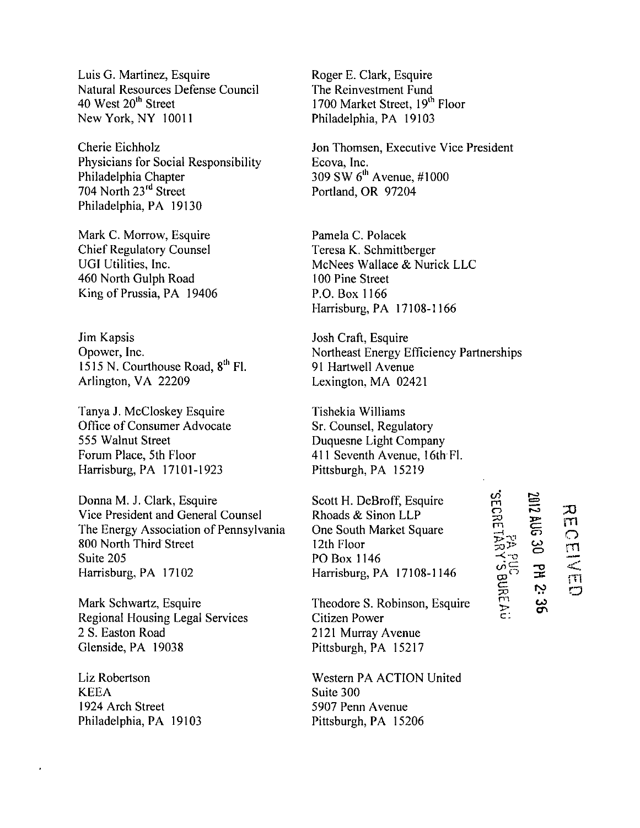Luis G. Martinez, Esquire Natural Resources Defense Council 40 West 20<sup>th</sup> Street New York, NY 10011

Cherie Eichholz Physicians for Social Responsibility Philadelphia Chapter 704 North 23rd Street Philadelphia, PA 19130

Mark C. Morrow, Esquire Chief Regulatory Counsel UGI Utilities, Inc. 460 North Gulph Road King of Prussia, PA 19406

Jim Kapsis Opower, Inc. 1515 N. Courthouse Road, 8<sup>th</sup> Fl. Arlington, VA 22209

Tanya J. McCloskey Esquire Office of Consumer Advocate 555 Walnut Street Forum Place, 5th Floor Harrisburg, PA 17101-1923

Donna M. J. Clark, Esquire Vice President and General Counsel The Energy Association of Pennsylvania 800 North Third Street Suite 205 Harrisburg, PA 17102

Mark Schwartz, Esquire Regional Housing Legal Services 2 S. Easton Road Glenside,PA 19038

Liz Robertson KEEA 1924 Arch Street Philadelphia, PA 19103

Roger E. Clark, Esquire The Reinvestment Fund 1700 Market Street, 19<sup>th</sup> Floor Philadelphia, PA 19103

Jon Thomsen, Executive Vice President Ecova, Inc.  $309$  SW  $6^{\text{th}}$  Avenue,  $\#1000$ Portland, OR 97204

Pamela C. Polacek Teresa K. Schmittberger McNees Wallace & Nurick LLC 100 Pine Street P.O. Box 1166 Harrisburg, PA 17108-1166

Josh Craft, Esquire Northeast Energy Efficiency Partnerships 91 Hartwell Avenue Lexington, MA 02421

Tishekia Williams Sr. Counsel, Regulatory Duquesne Light Company 411 Seventh Avenue, 16th Fl. Pittsburgh, PA 15219

Scott H. DeBroff, Esquire Rhoads & Sinon LLP One South Market Square 12th Floor PO Box 1146 Harrisburg, PA 17108-1146

Theodore S. Robinson, Esquire Citizen Power 2121 Murray Avenue Pittsburgh, PA 15217

Western PA ACTION United Suite 300 5907 Penn Avenue Pittsburgh, PA 15206

**CO m o** 

**3>3? -<--o** 

cr TO P I y> c: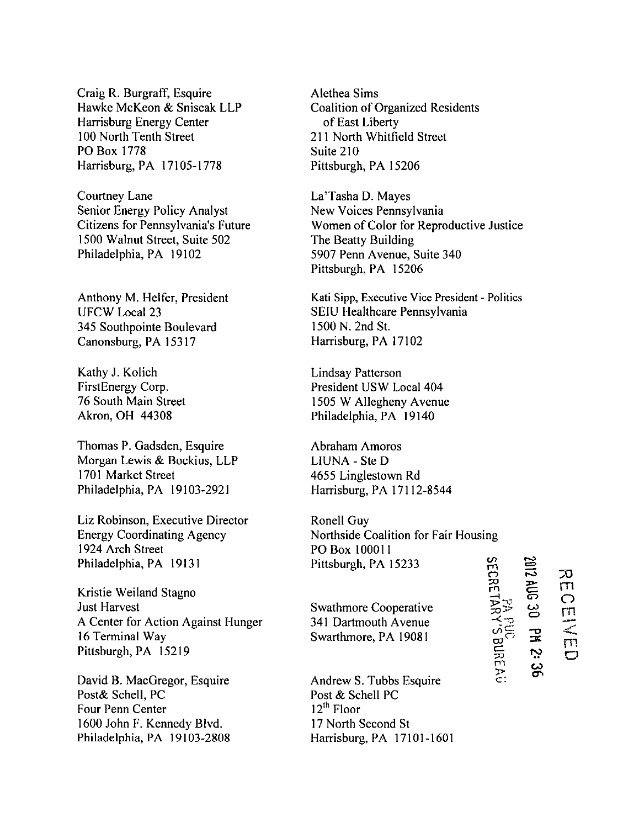Craig R. Burgraff, Esquire Hawke McKeon & Sniscak LLP Harrisburg Energy Center 100 North Tenth Street PO Box 1778 Harrisburg, PA 17105-1778

Courtney Lane Senior Energy Policy Analyst Citizens for Pennsylvania's Future 1500 Walnut Street, Suite 502 Philadelphia, PA 19102

Anthony M. Heifer, President UFCW Local 23 345 Southpointe Boulevard Canonsburg, PA 15317

Kathy J. Kolich FirstEnergy Corp. 76 South Main Street Akron, OH 44308

Thomas P. Gadsden, Esquire Morgan Lewis & Bockius, LLP 1701 Market Street Philadelphia, PA 19103-2921

Liz Robinson, Executive Director Energy Coordinating Agency 1924 Arch Street Philadelphia, PA 19131

Kristie Weiland Stagno Just Harvest A Center for Action Against Hunger 16 Terminal Way Pittsburgh, PA 15219

David B. MacGregor, Esquire Post& Schell, PC Four Penn Center 1600 John F. Kennedy Blvd. Philadelphia, PA 19103-2808 Alethea Sims Coalition of Organized Residents of East Liberty 211 North Whitfield Street Suite 210 Pittsburgh, PA 15206

La'Tasha D. Mayes New Voices Pennsylvania Women of Color for Reproductive Justice The Beatty Building 5907 Penn Avenue, Suite 340 Pittsburgh, PA 15206

Kati Sipp, Executive Vice President - Politics SEIU Healthcare Pennsylvania 1500 N. 2nd St. Harrisburg, PA 17102

Lindsay Patterson President USW Local 404 1505 W Allegheny Avenue Philadelphia, PA 19140

Abraham Amoros L1UNA - Ste D 4655 Linglestown Rd Harrisburg, PA 17112-8544

Ronell Guy Northside Coalition for Fair Housing PO Box 100011 Pittsburgh, PA 15233 **m o** 

Swathmore Cooperative 341 Dartmouth Avenue Swarthmore, PA 19081

Andrew S. Tubbs Esquire Post & Schell PC 12<sup>th</sup> Floor 17 North Second St Harrisburg, PA 17101-1601 **TO -<-0**  c P'l **>**   $\approx$  $=$ **r-o CO o -o**   $\mathbf{r}$ نت **CO**  بر<br>آ **O**  rn E<br>O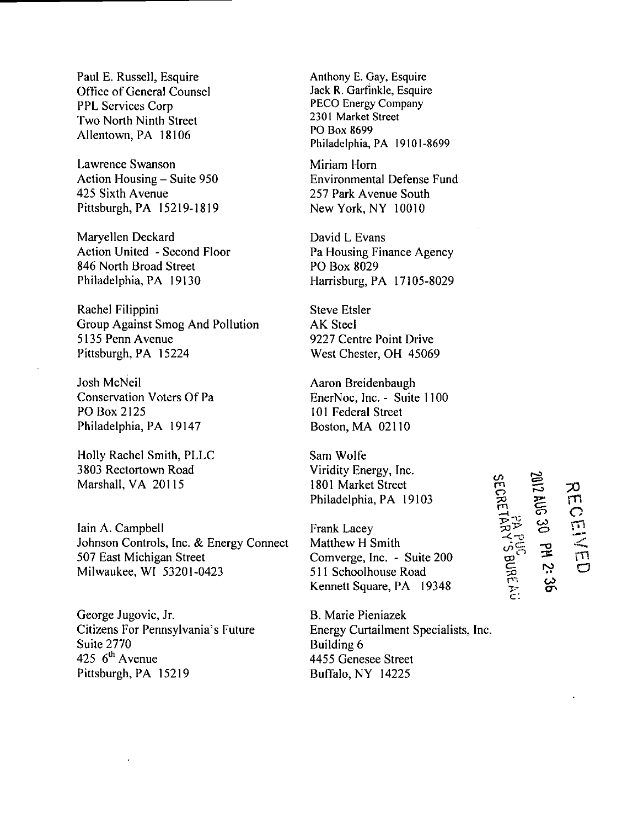Paul E. Russell, Esquire Office of General Counsel PPL Services Corp Two North Ninth Street Allentown, PA 18106

Lawrence Swanson Action Housing – Suite 950 425 Sixth Avenue Pittsburgh, PA 15219-1819

Maryellen Deckard Action United - Second Floor 846 North Broad Street Philadelphia, PA 19130

Rachel Filippini Group Against Smog And Pollution 5135 Penn Avenue Pittsburgh, PA 15224

Josh McNeil Conservation Voters Of Pa PO Box 2125 Philadelphia, PA 19147

Holly Rachel Smith, PLLC 3803 Rectortown Road Marshall, VA 20115

Iain A. Campbell Johnson Controls, Inc. & Energy Connect 507 East Michigan Street Milwaukee, WI 53201-0423

George Jugovic, Jr. Citizens For Pennsylvania's Future Suite 2770 425  $6^{\text{th}}$  Avenue Pittsburgh, PA 15219

Anthony E. Gay, Esquire Jack R. Garfinkle, Esquire PECO Energy Company 2301 Market Street PO Box 8699 Philadelphia, PA 19101-8699

Miriam Horn<br>Environmental Defense Fund 257 Park Avenue South 257 Fair Avenue South<br>New York NV 10010 New York, NY 10010

David L Evans Pa Housing Finance Agency PO Box 8029 Harrisburg, PA 17105-8029

Steve Etsler AK Steel 9227 Centre Point Drive West Chester, OH 45069

Aaron Breidenbaugh EnerNoc, Inc. - Suite 1100 101 Federal Street Boston, MA 02110

Sam Wolfe Viridity Energy, Inc. 1801 Market Street Philadelphia, PA 19103

Frank Lacey Matthew H Smith Comverge, Inc. - Suite 200 511 Schoolhouse Road Kennett Square, PA 19348

**h**<br> **SECRE** 

 $\Xi$ 

**-< ~o** 

 $\bar{ }$ 

**CO o**  궆 ro <u>ب</u> **m**   $\tilde{\mathbf{C}}$ 

> $\overline{\mathsf{m}}$ a

 $\bm{\varpi}$ **c:**  P't **"TT-**

B. Marie Pieniazek Energy Curtailment Specialists, Inc. Building 6 4455 Genesee Street Buffalo, NY 14225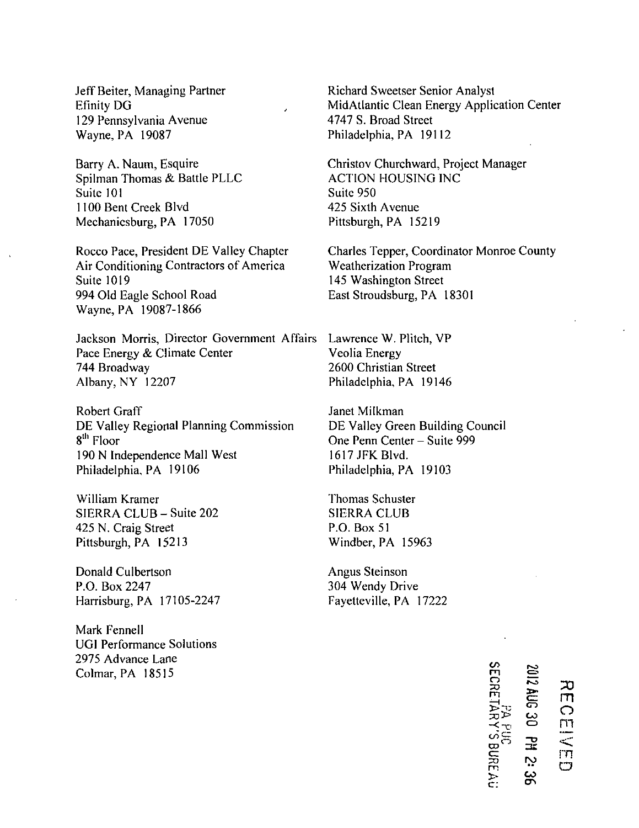Jeff Beiter, Managing Partner Efinity DG 129 Pennsylvania Avenue Wayne, PA 19087

Barry A. Naum, Esquire Spilman Thomas & Battle PLLC Suite 101 1100 Bent Creek Blvd Mechanicsburg, PA 17050

Rocco Pace, President DE Valley Chapter Air Conditioning Contractors of America Suite 1019 994 Old Eagle School Road Wayne, PA 19087-1866

Jackson Morris, Director Government Affairs Pace Energy & Climate Center 744 Broadway Albany, NY 12207

Robert Graff DE Valley Regional Planning Commission 8<sup>th</sup> Floor 190 N Independence Mall West Philadelphia, PA 19106

William Kramer SIERRA CLUB-Suite 202 425 N. Craig Street Pittsburgh, PA 15213

Donald Culbertson P.O. Box 2247 Harrisburg, PA 17105-2247

Mark Fennell UGI Performance Solutions 2975 Advance Lane Colmar, PA 18515

Richard Sweetser Senior Analyst MidAtlantic Clean Energy Application Center 4747 S. Broad Street Philadelphia, PA 19112

Christov Churchward, Project Manager ACTION HOUSING INC Suite 950 425 Sixth Avenue Pittsburgh, PA 15219

Charles Tepper, Coordinator Monroe County Weatherization Program 145 Washington Street East Stroudsburg, PA 18301

Lawrence W. Plitch, VP Veolia Energy 2600 Christian Street Philadelphia, PA 19146

Janet Milkman DE Valley Green Building Council One Penn Center - Suite 999 1617 JFK Blvd. Philadelphia, PA 19103

Thomas Schuster SIERRA CLUB P.O. Box 51 Windber, PA 15963

Angus Steinson 304 Wendy Drive Fayetteville, PA 17222

> SECRE **o CD**  cr **TO m > c ; \*\*<**  ត  $\bm{\omega}$  $\cup$ <mark></mark> .<br>ب **CO**

**m o m < . rn o**